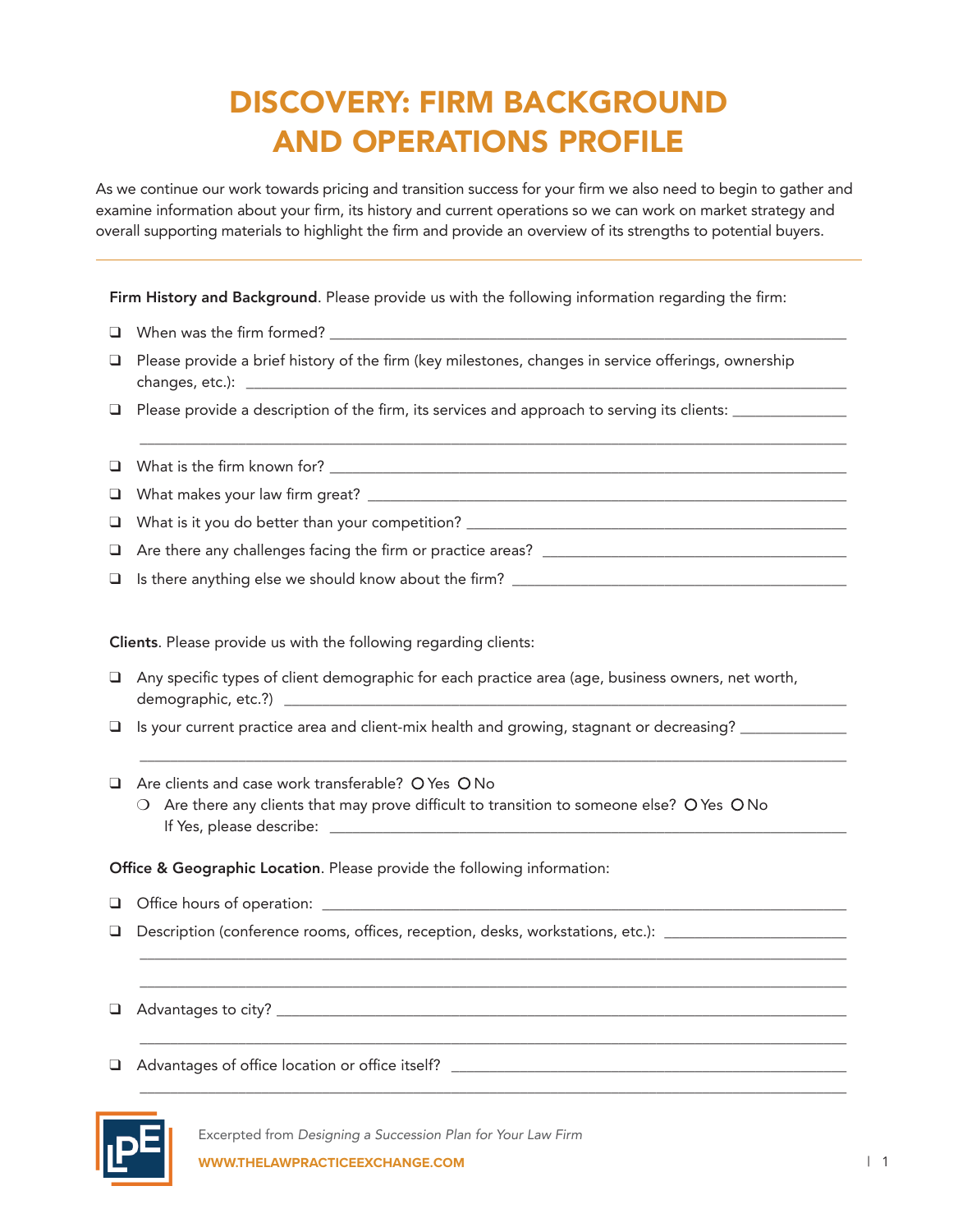## DISCOVERY: FIRM BACKGROUND AND OPERATIONS PROFILE

As we continue our work towards pricing and transition success for your firm we also need to begin to gather and examine information about your firm, its history and current operations so we can work on market strategy and overall supporting materials to highlight the firm and provide an overview of its strengths to potential buyers.

Firm History and Background. Please provide us with the following information regarding the firm:

- $\Box$  When was the firm formed?  $\Box$
- $\Box$  Please provide a brief history of the firm (key milestones, changes in service offerings, ownership changes, etc.):
- $\Box$  Please provide a description of the firm, its services and approach to serving its clients:  $\Box$

\_\_\_\_\_\_\_\_\_\_\_\_\_\_\_\_\_\_\_\_\_\_\_\_\_\_\_\_\_\_\_\_\_\_\_\_\_\_\_\_\_\_\_\_\_\_\_\_\_\_\_\_\_\_\_\_\_\_\_\_\_\_\_\_\_\_\_\_\_\_\_\_\_\_\_\_\_\_\_\_\_\_\_\_\_\_\_\_\_\_\_\_\_

 $\Box$  What is the firm known for?

- q What makes your law firm great? \_\_\_\_\_\_\_\_\_\_\_\_\_\_\_\_\_\_\_\_\_\_\_\_\_\_\_\_\_\_\_\_\_\_\_\_\_\_\_\_\_\_\_\_\_\_\_\_\_\_\_\_\_\_\_\_\_\_\_\_\_\_\_
- q What is it you do better than your competition? \_\_\_\_\_\_\_\_\_\_\_\_\_\_\_\_\_\_\_\_\_\_\_\_\_\_\_\_\_\_\_\_\_\_\_\_\_\_\_\_\_\_\_\_\_\_\_\_\_\_
- $\Box$  Are there any challenges facing the firm or practice areas?
- $\Box$  Is there anything else we should know about the firm?

Clients. Please provide us with the following regarding clients:

- $\Box$  Any specific types of client demographic for each practice area (age, business owners, net worth, demographic, etc.?) \_\_\_\_\_\_\_\_\_\_\_\_\_\_\_\_\_\_\_\_\_\_\_\_\_\_\_\_\_\_\_\_\_\_\_\_\_\_\_\_\_\_\_\_\_\_\_\_\_\_\_\_\_\_\_\_\_\_\_\_\_\_\_\_\_\_\_\_\_\_\_\_\_\_
- $\Box$  Is your current practice area and client-mix health and growing, stagnant or decreasing?
- $\Box$  Are clients and case work transferable? O Yes O No
	- $\circ$  Are there any clients that may prove difficult to transition to someone else?  $\circ$  Yes  $\circ$  No If Yes, please describe: \_\_\_\_\_\_\_\_\_\_\_\_\_\_\_\_\_\_\_\_\_\_\_\_\_\_\_\_\_\_\_\_\_\_\_\_\_\_\_\_\_\_\_\_\_\_\_\_\_\_\_\_\_\_\_\_\_\_\_\_\_\_\_\_\_\_\_\_

\_\_\_\_\_\_\_\_\_\_\_\_\_\_\_\_\_\_\_\_\_\_\_\_\_\_\_\_\_\_\_\_\_\_\_\_\_\_\_\_\_\_\_\_\_\_\_\_\_\_\_\_\_\_\_\_\_\_\_\_\_\_\_\_\_\_\_\_\_\_\_\_\_\_\_\_\_\_\_\_\_\_\_\_\_\_\_\_\_\_\_\_\_

\_\_\_\_\_\_\_\_\_\_\_\_\_\_\_\_\_\_\_\_\_\_\_\_\_\_\_\_\_\_\_\_\_\_\_\_\_\_\_\_\_\_\_\_\_\_\_\_\_\_\_\_\_\_\_\_\_\_\_\_\_\_\_\_\_\_\_\_\_\_\_\_\_\_\_\_\_\_\_\_\_\_\_\_\_\_\_\_\_\_\_\_\_ \_\_\_\_\_\_\_\_\_\_\_\_\_\_\_\_\_\_\_\_\_\_\_\_\_\_\_\_\_\_\_\_\_\_\_\_\_\_\_\_\_\_\_\_\_\_\_\_\_\_\_\_\_\_\_\_\_\_\_\_\_\_\_\_\_\_\_\_\_\_\_\_\_\_\_\_\_\_\_\_\_\_\_\_\_\_\_\_\_\_\_\_\_

\_\_\_\_\_\_\_\_\_\_\_\_\_\_\_\_\_\_\_\_\_\_\_\_\_\_\_\_\_\_\_\_\_\_\_\_\_\_\_\_\_\_\_\_\_\_\_\_\_\_\_\_\_\_\_\_\_\_\_\_\_\_\_\_\_\_\_\_\_\_\_\_\_\_\_\_\_\_\_\_\_\_\_\_\_\_\_\_\_\_\_\_\_

\_\_\_\_\_\_\_\_\_\_\_\_\_\_\_\_\_\_\_\_\_\_\_\_\_\_\_\_\_\_\_\_\_\_\_\_\_\_\_\_\_\_\_\_\_\_\_\_\_\_\_\_\_\_\_\_\_\_\_\_\_\_\_\_\_\_\_\_\_\_\_\_\_\_\_\_\_\_\_\_\_\_\_\_\_\_\_\_\_\_\_\_\_

Office & Geographic Location. Please provide the following information:

- q Office hours of operation: \_\_\_\_\_\_\_\_\_\_\_\_\_\_\_\_\_\_\_\_\_\_\_\_\_\_\_\_\_\_\_\_\_\_\_\_\_\_\_\_\_\_\_\_\_\_\_\_\_\_\_\_\_\_\_\_\_\_\_\_\_\_\_\_\_\_\_\_\_
- $\Box$  Description (conference rooms, offices, reception, desks, workstations, etc.):

 $\Box$  Advantages to city?

q Advantages of office location or office itself? \_\_\_\_\_\_\_\_\_\_\_\_\_\_\_\_\_\_\_\_\_\_\_\_\_\_\_\_\_\_\_\_\_\_\_\_\_\_\_\_\_\_\_\_\_\_\_\_\_\_\_\_

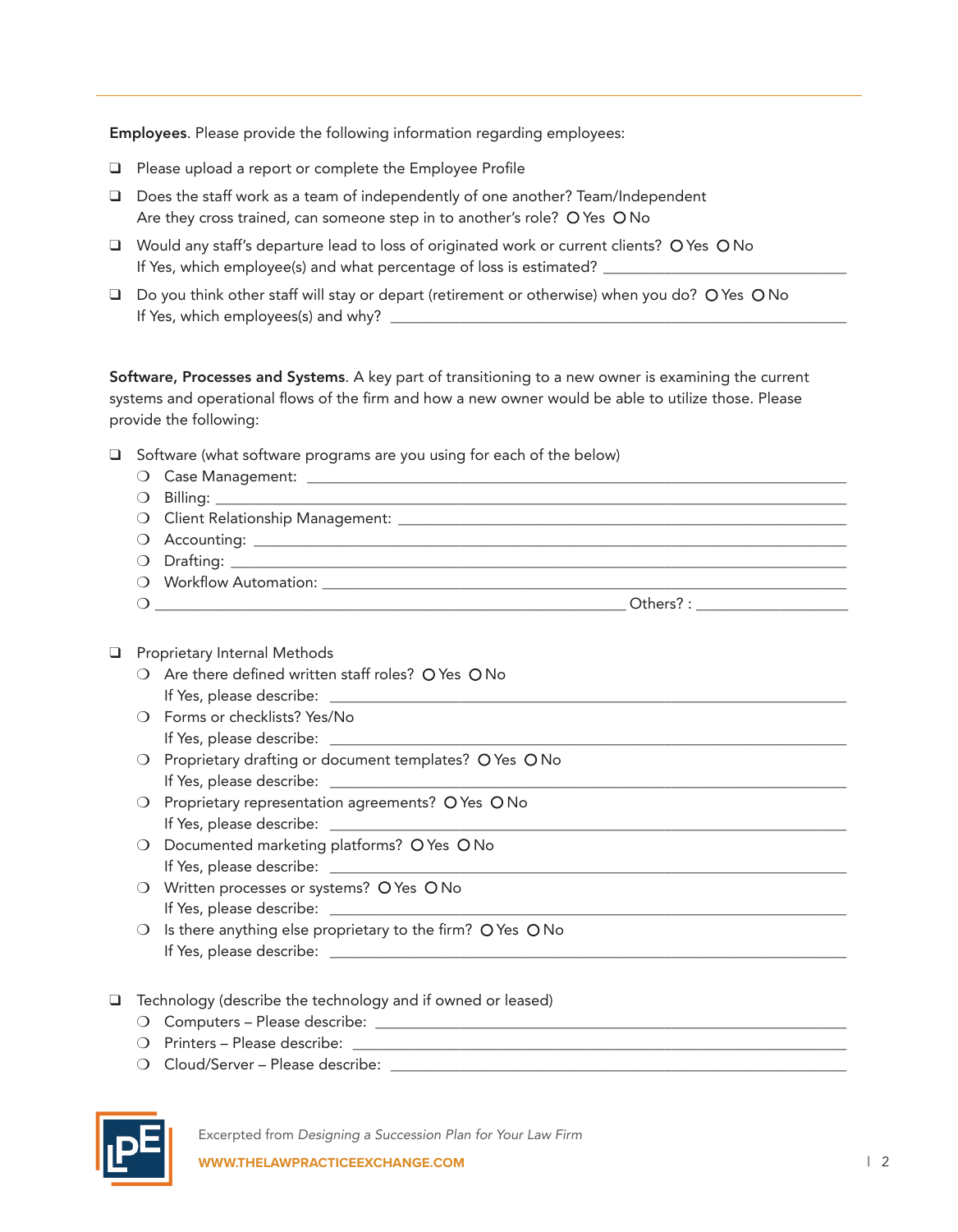Employees. Please provide the following information regarding employees:

- $\Box$  Please upload a report or complete the Employee Profile
- $\Box$  Does the staff work as a team of independently of one another? Team/Independent Are they cross trained, can someone step in to another's role? O Yes O No
- $\Box$  Would any staff's departure lead to loss of originated work or current clients? O Yes O No If Yes, which employee(s) and what percentage of loss is estimated? \_\_\_\_\_\_\_\_\_\_\_\_\_\_\_\_\_\_\_\_\_\_\_\_\_\_\_\_\_\_\_\_
- □ Do you think other staff will stay or depart (retirement or otherwise) when you do? O Yes O No If Yes, which employees(s) and why? \_\_\_\_\_\_\_\_\_\_\_\_\_\_\_\_\_\_\_\_\_\_\_\_\_\_\_\_\_\_\_\_\_\_\_\_\_\_\_\_\_\_\_\_\_\_\_\_\_\_\_\_\_\_\_\_\_\_\_\_

Software, Processes and Systems. A key part of transitioning to a new owner is examining the current systems and operational flows of the firm and how a new owner would be able to utilize those. Please provide the following:

- $\Box$  Software (what software programs are you using for each of the below)
	- O Case Management:
	- $\bigcirc$  Billing:
	- m Client Relationship Management: \_\_\_\_\_\_\_\_\_\_\_\_\_\_\_\_\_\_\_\_\_\_\_\_\_\_\_\_\_\_\_\_\_\_\_\_\_\_\_\_\_\_\_\_\_\_\_\_\_\_\_\_\_\_\_\_\_\_\_
	- m Accounting: \_\_\_\_\_\_\_\_\_\_\_\_\_\_\_\_\_\_\_\_\_\_\_\_\_\_\_\_\_\_\_\_\_\_\_\_\_\_\_\_\_\_\_\_\_\_\_\_\_\_\_\_\_\_\_\_\_\_\_\_\_\_\_\_\_\_\_\_\_\_\_\_\_\_\_\_\_\_
	- m Drafting: \_\_\_\_\_\_\_\_\_\_\_\_\_\_\_\_\_\_\_\_\_\_\_\_\_\_\_\_\_\_\_\_\_\_\_\_\_\_\_\_\_\_\_\_\_\_\_\_\_\_\_\_\_\_\_\_\_\_\_\_\_\_\_\_\_\_\_\_\_\_\_\_\_\_\_\_\_\_\_\_\_
	- O Workflow Automation:

m \_\_\_\_\_\_\_\_\_\_\_\_\_\_\_\_\_\_\_\_\_\_\_\_\_\_\_\_\_\_\_\_\_\_\_\_\_\_\_\_\_\_\_\_\_\_\_\_\_\_\_\_\_\_\_\_\_\_\_\_\_\_ Others? : \_\_\_\_\_\_\_\_\_\_\_\_\_\_\_\_\_\_\_\_

- $\Box$  Proprietary Internal Methods
	- $\bigcirc$  Are there defined written staff roles? O Yes O No If Yes, please describe: \_\_\_\_\_\_\_\_\_\_\_\_\_\_\_\_\_\_\_\_\_\_\_\_\_\_\_\_\_\_\_\_\_\_\_\_\_\_\_\_\_\_\_\_\_\_\_\_\_\_\_\_\_\_\_\_\_\_\_\_\_\_\_\_\_\_\_\_
	- O Forms or checklists? Yes/No If Yes, please describe:
	- O Proprietary drafting or document templates? O Yes O No If Yes, please describe: \_\_\_\_\_\_\_\_\_\_\_\_\_\_\_\_\_\_\_\_\_\_\_\_\_\_\_\_\_\_\_\_\_\_\_\_\_\_\_\_\_\_\_\_\_\_\_\_\_\_\_\_\_\_\_\_\_\_\_\_\_\_\_\_\_\_\_\_
	- $\bigcirc$  Proprietary representation agreements? O Yes O No If Yes, please describe:
	- $\bigcirc$  Documented marketing platforms? O Yes O No If Yes, please describe:  $\Box$
	- $\bigcirc$  Written processes or systems?  $\bigcirc$  Yes  $\bigcirc$  No If Yes, please describe:
	- $\bigcirc$  Is there anything else proprietary to the firm? O Yes O No If Yes, please describe: \_\_\_\_\_\_\_\_\_\_\_\_\_\_\_\_\_\_\_\_\_\_\_\_\_\_\_\_\_\_\_\_\_\_\_\_\_\_\_\_\_\_\_\_\_\_\_\_\_\_\_\_\_\_\_\_\_\_\_\_\_\_\_\_\_\_\_\_
- $\Box$  Technology (describe the technology and if owned or leased)
	- m Computers Please describe: \_\_\_\_\_\_\_\_\_\_\_\_\_\_\_\_\_\_\_\_\_\_\_\_\_\_\_\_\_\_\_\_\_\_\_\_\_\_\_\_\_\_\_\_\_\_\_\_\_\_\_\_\_\_\_\_\_\_\_\_\_\_
	- $\bigcirc$  Printers Please describe:  $\bigcirc$
	- $\bigcirc$  Cloud/Server Please describe:  $\bigcirc$



Excerpted from *Designing a Succession Plan for Your Law Firm*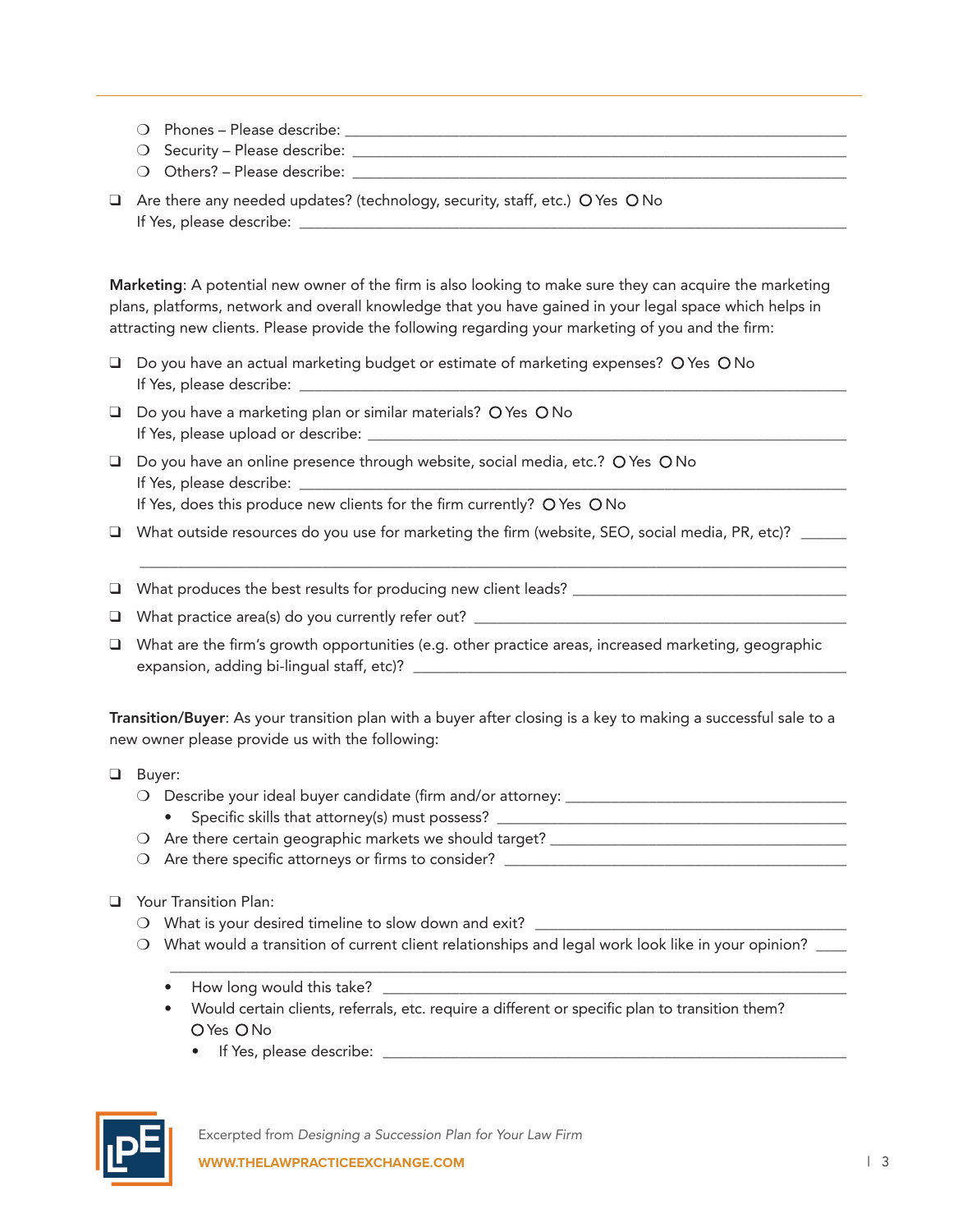- $\bigcirc$  Phones Please describe:  $\bigcirc$
- m Security Please describe: \_\_\_\_\_\_\_\_\_\_\_\_\_\_\_\_\_\_\_\_\_\_\_\_\_\_\_\_\_\_\_\_\_\_\_\_\_\_\_\_\_\_\_\_\_\_\_\_\_\_\_\_\_\_\_\_\_\_\_\_\_\_\_\_\_
- $\bigcirc$  Others? Please describe:
- $\Box$  Are there any needed updates? (technology, security, staff, etc.) O Yes O No If Yes, please describe:

Marketing: A potential new owner of the firm is also looking to make sure they can acquire the marketing plans, platforms, network and overall knowledge that you have gained in your legal space which helps in attracting new clients. Please provide the following regarding your marketing of you and the firm:

- $\Box$  Do you have an actual marketing budget or estimate of marketing expenses? O Yes O No If Yes, please describe:
- $\Box$  Do you have a marketing plan or similar materials? O Yes O No If Yes, please upload or describe: \_\_\_\_\_\_\_\_\_\_\_\_\_\_\_\_\_\_\_\_\_\_\_\_\_\_\_\_\_\_\_\_\_\_\_\_\_\_\_\_\_\_\_\_\_\_\_\_\_\_\_\_\_\_\_\_\_\_\_\_\_\_\_
- $\Box$  Do you have an online presence through website, social media, etc.? O Yes O No If Yes, please describe: \_\_\_\_\_\_\_\_\_\_\_\_\_\_\_\_\_\_\_\_\_\_\_\_\_\_\_\_\_\_\_\_\_\_\_\_\_\_\_\_\_\_\_\_\_\_\_\_\_\_\_\_\_\_\_\_\_\_\_\_\_\_\_\_\_\_\_\_\_\_\_\_

If Yes, does this produce new clients for the firm currently? O Yes O No

□ What outside resources do you use for marketing the firm (website, SEO, social media, PR, etc)? \_\_\_\_\_\_

\_\_\_\_\_\_\_\_\_\_\_\_\_\_\_\_\_\_\_\_\_\_\_\_\_\_\_\_\_\_\_\_\_\_\_\_\_\_\_\_\_\_\_\_\_\_\_\_\_\_\_\_\_\_\_\_\_\_\_\_\_\_\_\_\_\_\_\_\_\_\_\_\_\_\_\_\_\_\_\_\_\_\_\_\_\_\_\_\_\_\_\_\_

 $\Box$  What produces the best results for producing new client leads?

- q What practice area(s) do you currently refer out? \_\_\_\_\_\_\_\_\_\_\_\_\_\_\_\_\_\_\_\_\_\_\_\_\_\_\_\_\_\_\_\_\_\_\_\_\_\_\_\_\_\_\_\_\_\_\_\_\_
- $\Box$  What are the firm's growth opportunities (e.g. other practice areas, increased marketing, geographic expansion, adding bi-lingual staff, etc)? \_\_\_\_\_\_\_\_\_\_\_\_\_\_\_\_\_\_\_\_\_\_\_\_\_\_\_\_\_\_\_\_\_\_\_\_\_\_\_\_\_\_\_\_\_\_\_\_\_\_\_\_\_\_\_\_\_

Transition/Buyer: As your transition plan with a buyer after closing is a key to making a successful sale to a new owner please provide us with the following:

- **Q** Buyer:
	- $\bigcirc$  Describe your ideal buyer candidate (firm and/or attorney:  $\bigcirc$ 
		- Specific skills that attorney(s) must possess?
	- $\bigcirc$  Are there certain geographic markets we should target?
	- m Are there specific attorneys or firms to consider? \_\_\_\_\_\_\_\_\_\_\_\_\_\_\_\_\_\_\_\_\_\_\_\_\_\_\_\_\_\_\_\_\_\_\_\_\_\_\_\_\_\_\_\_\_
- **Q** Your Transition Plan:
	- $\bigcirc$  What is your desired timeline to slow down and exit?
	- O What would a transition of current client relationships and legal work look like in your opinion? \_\_\_\_

\_\_\_\_\_\_\_\_\_\_\_\_\_\_\_\_\_\_\_\_\_\_\_\_\_\_\_\_\_\_\_\_\_\_\_\_\_\_\_\_\_\_\_\_\_\_\_\_\_\_\_\_\_\_\_\_\_\_\_\_\_\_\_\_\_\_\_\_\_\_\_\_\_\_\_\_\_\_\_\_\_\_\_\_\_\_\_\_\_

- How long would this take? \_\_\_\_\_\_\_\_\_\_\_\_\_\_\_\_\_\_\_\_\_\_\_\_\_\_\_\_\_\_\_\_\_\_\_\_\_\_\_\_\_\_\_\_\_\_\_\_\_\_\_\_\_\_\_\_\_\_\_\_\_
- Would certain clients, referrals, etc. require a different or specific plan to transition them? O Yes O No
	- If Yes, please describe: \_\_\_\_\_\_\_\_\_\_\_\_\_\_\_\_\_\_\_\_\_\_\_\_\_\_\_\_\_\_\_\_\_\_\_\_\_\_\_\_\_\_\_\_\_\_\_\_\_\_\_\_\_\_\_\_\_\_\_\_\_